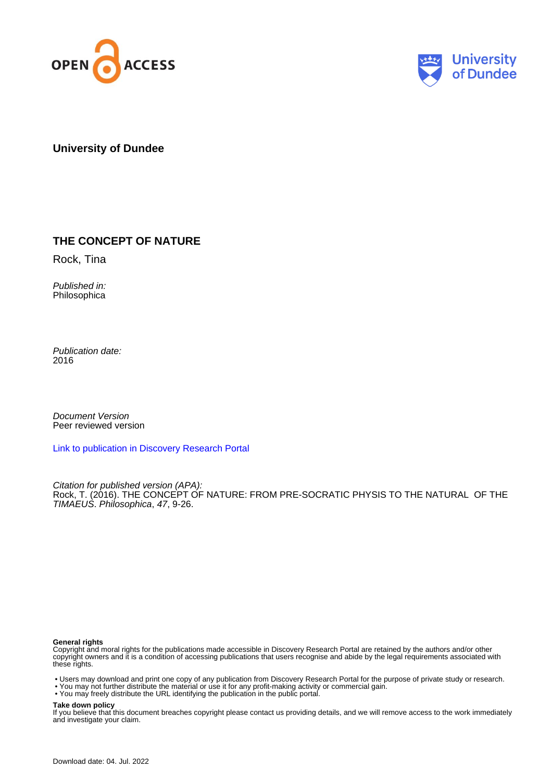



**University of Dundee**

# **THE CONCEPT OF NATURE**

Rock, Tina

Published in: Philosophica

Publication date: 2016

Document Version Peer reviewed version

[Link to publication in Discovery Research Portal](https://discovery.dundee.ac.uk/en/publications/9a2329b8-382c-42af-a68a-933d7bf45d2d)

Citation for published version (APA): Rock, T. (2016). THE CONCEPT OF NATURE: FROM PRE-SOCRATIC PHYSIS TO THE NATURAL OF THE TIMAEUS. Philosophica, 47, 9-26.

#### **General rights**

Copyright and moral rights for the publications made accessible in Discovery Research Portal are retained by the authors and/or other copyright owners and it is a condition of accessing publications that users recognise and abide by the legal requirements associated with these rights.

- Users may download and print one copy of any publication from Discovery Research Portal for the purpose of private study or research.
- You may not further distribute the material or use it for any profit-making activity or commercial gain.
- You may freely distribute the URL identifying the publication in the public portal.

#### **Take down policy**

If you believe that this document breaches copyright please contact us providing details, and we will remove access to the work immediately and investigate your claim.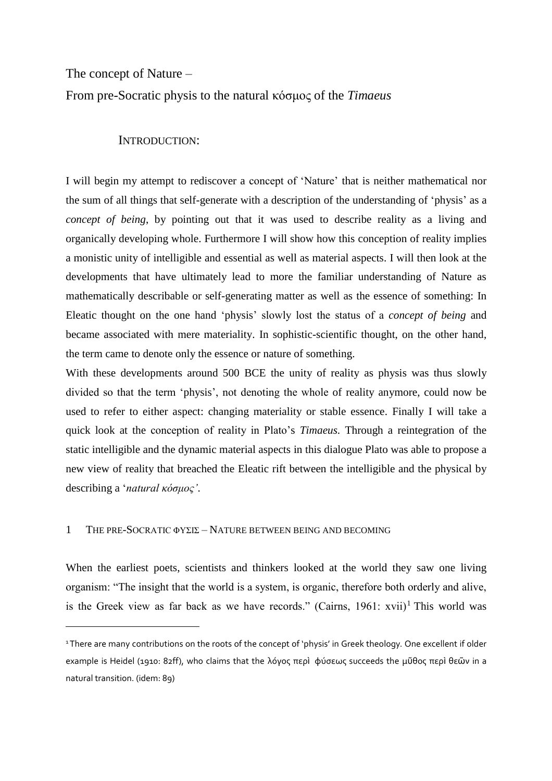## The concept of Nature –

 $\overline{a}$ 

# From pre-Socratic physis to the natural κόσμος of the *Timaeus*

## INTRODUCTION:

I will begin my attempt to rediscover a concept of 'Nature' that is neither mathematical nor the sum of all things that self-generate with a description of the understanding of 'physis' as a *concept of being*, by pointing out that it was used to describe reality as a living and organically developing whole. Furthermore I will show how this conception of reality implies a monistic unity of intelligible and essential as well as material aspects. I will then look at the developments that have ultimately lead to more the familiar understanding of Nature as mathematically describable or self-generating matter as well as the essence of something: In Eleatic thought on the one hand 'physis' slowly lost the status of a *concept of being* and became associated with mere materiality. In sophistic-scientific thought, on the other hand, the term came to denote only the essence or nature of something.

With these developments around 500 BCE the unity of reality as physis was thus slowly divided so that the term 'physis', not denoting the whole of reality anymore, could now be used to refer to either aspect: changing materiality or stable essence. Finally I will take a quick look at the conception of reality in Plato's *Timaeus.* Through a reintegration of the static intelligible and the dynamic material aspects in this dialogue Plato was able to propose a new view of reality that breached the Eleatic rift between the intelligible and the physical by describing a '*natural κόσμος'*.

#### 1 THE PRE-SOCRATIC ΦΥΣΙΣ – NATURE BETWEEN BEING AND BECOMING

When the earliest poets, scientists and thinkers looked at the world they saw one living organism: "The insight that the world is a system, is organic, therefore both orderly and alive, is the Greek view as far back as we have records." (Cairns,  $1961$ : xvii)<sup>1</sup> This world was

<sup>&</sup>lt;sup>1</sup>There are many contributions on the roots of the concept of 'physis' in Greek theology. One excellent if older example is Heidel (1910: 82ff), who claims that the λόγος περὶ φύσεως succeeds the μῦθος περὶ θεῶν in a natural transition. (idem: 89)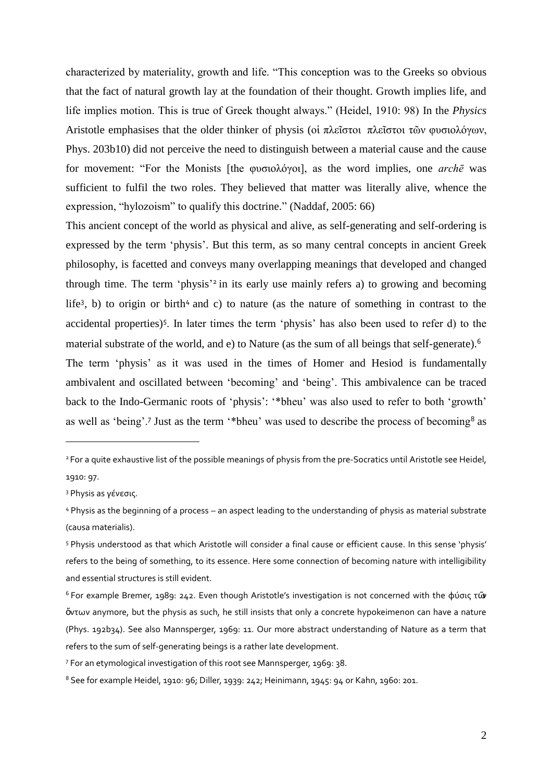characterized by materiality, growth and life. "This conception was to the Greeks so obvious that the fact of natural growth lay at the foundation of their thought. Growth implies life, and life implies motion. This is true of Greek thought always." (Heidel, 1910: 98) In the *Physics* Aristotle emphasises that the older thinker of physis (οἱ πλεῖστοι πλεῖστοι τῶν φυσιολόγων, Phys. 203b10) did not perceive the need to distinguish between a material cause and the cause for movement: "For the Monists [the φυσιολόγοι], as the word implies, one *archē* was sufficient to fulfil the two roles. They believed that matter was literally alive, whence the expression, "hylozoism" to qualify this doctrine." (Naddaf, 2005: 66)

This ancient concept of the world as physical and alive, as self-generating and self-ordering is expressed by the term 'physis'. But this term, as so many central concepts in ancient Greek philosophy, is facetted and conveys many overlapping meanings that developed and changed through time. The term 'physis' 2 in its early use mainly refers a) to growing and becoming life<sup>3</sup>, b) to origin or birth<sup>4</sup> and c) to nature (as the nature of something in contrast to the accidental properties)<sup>5</sup>. In later times the term 'physis' has also been used to refer d) to the material substrate of the world, and e) to Nature (as the sum of all beings that self-generate).<sup>6</sup> The term 'physis' as it was used in the times of Homer and Hesiod is fundamentally ambivalent and oscillated between 'becoming' and 'being'. This ambivalence can be traced back to the Indo-Germanic roots of 'physis': '\*bheu' was also used to refer to both 'growth'

as well as 'being'.<sup>7</sup> Just as the term '\*bheu' was used to describe the process of becoming<sup>8</sup> as

<sup>&</sup>lt;sup>2</sup> For a quite exhaustive list of the possible meanings of physis from the pre-Socratics until Aristotle see Heidel, 1910: 97.

<sup>3</sup> Physis as γένεσις.

<sup>4</sup> Physis as the beginning of a process – an aspect leading to the understanding of physis as material substrate (causa materialis).

<sup>5</sup> Physis understood as that which Aristotle will consider a final cause or efficient cause. In this sense 'physis' refers to the being of something, to its essence. Here some connection of becoming nature with intelligibility and essential structures is still evident.

<sup>6</sup> For example Bremer, 1989: 242. Even though Aristotle's investigation is not concerned with the φύσις τῶν ὄντων anymore, but the physis as such, he still insists that only a concrete hypokeimenon can have a nature (Phys. 192b34). See also Mannsperger, 1969: 11. Our more abstract understanding of Nature as a term that refers to the sum of self-generating beings is a rather late development.

<sup>7</sup> For an etymological investigation of this root see Mannsperger, 1969: 38.

 $8$  See for example Heidel, 1910: 96; Diller, 1939: 242; Heinimann, 1945: 94 or Kahn, 1960: 201.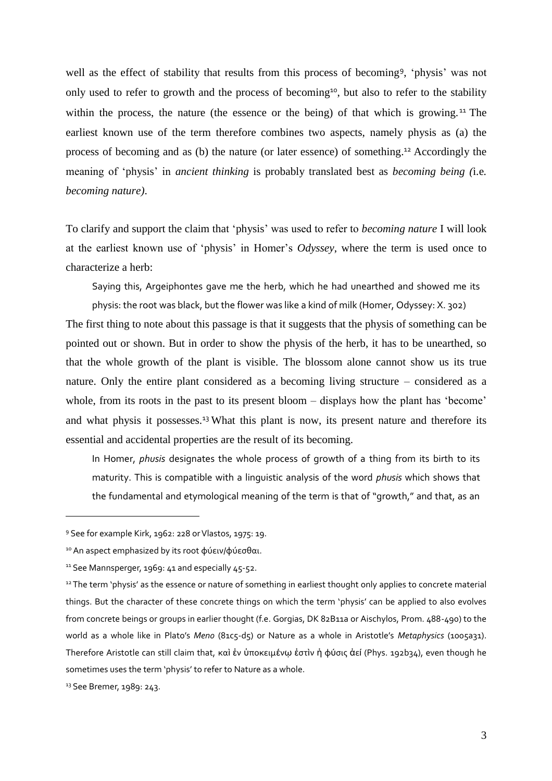well as the effect of stability that results from this process of becoming<sup>9</sup>, 'physis' was not only used to refer to growth and the process of becoming<sup>10</sup>, but also to refer to the stability within the process, the nature (the essence or the being) of that which is growing.<sup>11</sup> The earliest known use of the term therefore combines two aspects, namely physis as (a) the process of becoming and as (b) the nature (or later essence) of something. <sup>12</sup> Accordingly the meaning of 'physis' in *ancient thinking* is probably translated best as *becoming being (*i.e*. becoming nature)*.

To clarify and support the claim that 'physis' was used to refer to *becoming nature* I will look at the earliest known use of 'physis' in Homer's *Odyssey*, where the term is used once to characterize a herb:

Saying this, Argeiphontes gave me the herb, which he had unearthed and showed me its physis: the root was black, but the flower was like a kind of milk (Homer, Odyssey: X. 302)

The first thing to note about this passage is that it suggests that the physis of something can be pointed out or shown. But in order to show the physis of the herb, it has to be unearthed, so that the whole growth of the plant is visible. The blossom alone cannot show us its true nature. Only the entire plant considered as a becoming living structure – considered as a whole, from its roots in the past to its present bloom – displays how the plant has 'become' and what physis it possesses.<sup>13</sup> What this plant is now, its present nature and therefore its essential and accidental properties are the result of its becoming.

In Homer, *phusis* designates the whole process of growth of a thing from its birth to its maturity. This is compatible with a linguistic analysis of the word *phusis* which shows that the fundamental and etymological meaning of the term is that of "growth," and that, as an

<sup>9</sup> See for example Kirk, 1962: 228 or Vlastos, 1975: 19.

<sup>10</sup> An aspect emphasized by its root φύειν/φύεσθαι.

<sup>&</sup>lt;sup>11</sup> See Mannsperger, 1969: 41 and especially 45-52.

<sup>&</sup>lt;sup>12</sup> The term 'physis' as the essence or nature of something in earliest thought only applies to concrete material things. But the character of these concrete things on which the term 'physis' can be applied to also evolves from concrete beings or groups in earlier thought (f.e. Gorgias, DK 82B11a or Aischylos, Prom. 488-490) to the world as a whole like in Plato's *Meno* (81c5-d5) or Nature as a whole in Aristotle's *Metaphysics* (1005a31). Therefore Aristotle can still claim that, καὶ ἐν ὑποκειμένῳ ἐστὶν ἡ φύσις ἀεί (Phys. 192b34), even though he sometimes uses the term 'physis' to refer to Nature as a whole.

<sup>13</sup> See Bremer, 1989: 243.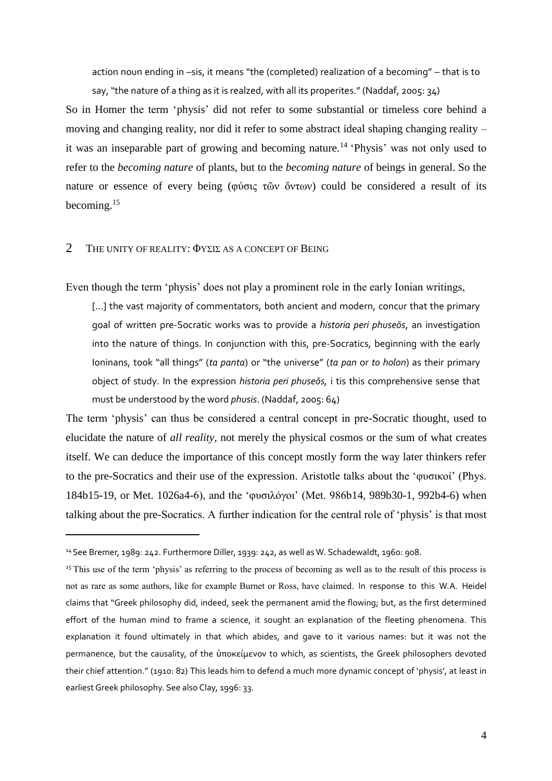action noun ending in –sis, it means "the (completed) realization of a becoming" – that is to say, "the nature of a thing as it is realzed, with all its properites." (Naddaf, 2005: 34)

So in Homer the term 'physis' did not refer to some substantial or timeless core behind a moving and changing reality, nor did it refer to some abstract ideal shaping changing reality – it was an inseparable part of growing and becoming nature.<sup>14</sup> 'Physis' was not only used to refer to the *becoming nature* of plants, but to the *becoming nature* of beings in general. So the nature or essence of every being (φύσις τῶν ὄντων) could be considered a result of its becoming.<sup>15</sup>

#### 2 THE UNITY OF REALITY: ΦΥΣΙΣ AS A CONCEPT OF BEING

Even though the term 'physis' does not play a prominent role in the early Ionian writings,

[...] the vast majority of commentators, both ancient and modern, concur that the primary goal of written pre-Socratic works was to provide a *historia peri phuseōs*, an investigation into the nature of things. In conjunction with this, pre-Socratics, beginning with the early Ioninans, took "all things" (*ta panta*) or "the universe" (*ta pan* or *to holon*) as their primary object of study. In the expression *historia peri phuseōs,* i tis this comprehensive sense that must be understood by the word *phusis*. (Naddaf, 2005: 64)

The term 'physis' can thus be considered a central concept in pre-Socratic thought, used to elucidate the nature of *all reality*, not merely the physical cosmos or the sum of what creates itself. We can deduce the importance of this concept mostly form the way later thinkers refer to the pre-Socratics and their use of the expression. Aristotle talks about the 'φυσικοί' (Phys. 184b15-19, or Met. 1026a4-6), and the 'φυσιλόγοι' (Met. 986b14, 989b30-1, 992b4-6) when talking about the pre-Socratics. A further indication for the central role of 'physis' is that most

<sup>14</sup>See Bremer, 1989: 242. Furthermore Diller, 1939: 242, as well as W. Schadewaldt, 1960: 908.

<sup>&</sup>lt;sup>15</sup> This use of the term 'physis' as referring to the process of becoming as well as to the result of this process is not as rare as some authors, like for example Burnet or Ross, have claimed. In response to this W.A. Heidel claims that "Greek philosophy did, indeed, seek the permanent amid the flowing; but, as the first determined effort of the human mind to frame a science, it sought an explanation of the fleeting phenomena. This explanation it found ultimately in that which abides, and gave to it various names: but it was not the permanence, but the causality, of the ὑποκείμενον to which, as scientists, the Greek philosophers devoted their chief attention." (1910: 82) This leads him to defend a much more dynamic concept of 'physis', at least in earliest Greek philosophy. See also Clay, 1996: 33.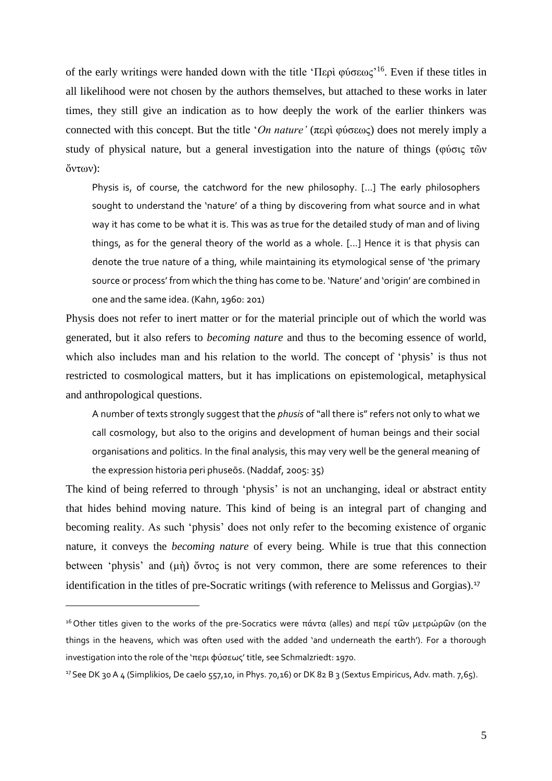of the early writings were handed down with the title 'Περὶ φύσεως'<sup>16</sup>. Even if these titles in all likelihood were not chosen by the authors themselves, but attached to these works in later times, they still give an indication as to how deeply the work of the earlier thinkers was connected with this concept. But the title '*On nature'* (περὶ φύσεως) does not merely imply a study of physical nature, but a general investigation into the nature of things (φύσις τῶν ὄντων):

Physis is, of course, the catchword for the new philosophy. [...] The early philosophers sought to understand the 'nature' of a thing by discovering from what source and in what way it has come to be what it is. This was as true for the detailed study of man and of living things, as for the general theory of the world as a whole. [...] Hence it is that physis can denote the true nature of a thing, while maintaining its etymological sense of 'the primary source or process' from which the thing has come to be. 'Nature' and 'origin' are combined in one and the same idea. (Kahn, 1960: 201)

Physis does not refer to inert matter or for the material principle out of which the world was generated, but it also refers to *becoming nature* and thus to the becoming essence of world, which also includes man and his relation to the world. The concept of 'physis' is thus not restricted to cosmological matters, but it has implications on epistemological, metaphysical and anthropological questions.

A number of texts strongly suggest that the *phusis* of "all there is" refers not only to what we call cosmology, but also to the origins and development of human beings and their social organisations and politics. In the final analysis, this may very well be the general meaning of the expression historia peri phuseōs. (Naddaf, 2005: 35)

The kind of being referred to through 'physis' is not an unchanging, ideal or abstract entity that hides behind moving nature. This kind of being is an integral part of changing and becoming reality. As such 'physis' does not only refer to the becoming existence of organic nature, it conveys the *becoming nature* of every being. While is true that this connection between 'physis' and (μὴ) ὄντος is not very common, there are some references to their identification in the titles of pre-Socratic writings (with reference to Melissus and Gorgias).<sup>17</sup>

<sup>&</sup>lt;sup>16</sup> Other titles given to the works of the pre-Socratics were πάντα (alles) and περί τῶν μετρώρῶν (on the things in the heavens, which was often used with the added 'and underneath the earth'). For a thorough investigation into the role of the 'περι φύσεως' title, see Schmalzriedt: 1970.

<sup>&</sup>lt;sup>17</sup> See DK 30 A 4 (Simplikios, De caelo 557,10, in Phys. 70,16) or DK 82 B 3 (Sextus Empiricus, Adv. math. 7,65).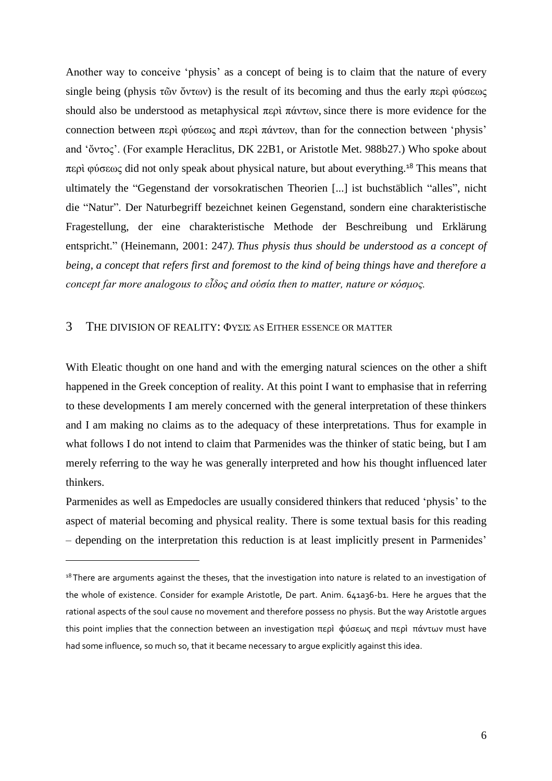Another way to conceive 'physis' as a concept of being is to claim that the nature of every single being (physis τῶν ὄντων) is the result of its becoming and thus the early περὶ φύσεως should also be understood as metaphysical περὶ πάντων, since there is more evidence for the connection between περὶ φύσεως and περὶ πάντων, than for the connection between 'physis' and 'ὄντoς'. (For example Heraclitus, DK 22B1, or Aristotle Met. 988b27.) Who spoke about περὶ φύσεως did not only speak about physical nature, but about everything.<sup>18</sup> This means that ultimately the "Gegenstand der vorsokratischen Theorien [...] ist buchstäblich "alles", nicht die "Natur". Der Naturbegriff bezeichnet keinen Gegenstand, sondern eine charakteristische Fragestellung, der eine charakteristische Methode der Beschreibung und Erklärung entspricht." (Heinemann, 2001: 247*). Thus physis thus should be understood as a concept of being, a concept that refers first and foremost to the kind of being things have and therefore a concept far more analogous to εἶδος and οὐσία then to matter, nature or κόσμος.*

# 3 THE DIVISION OF REALITY: ΦΥΣΙΣ AS EITHER ESSENCE OR MATTER

 $\overline{a}$ 

With Eleatic thought on one hand and with the emerging natural sciences on the other a shift happened in the Greek conception of reality. At this point I want to emphasise that in referring to these developments I am merely concerned with the general interpretation of these thinkers and I am making no claims as to the adequacy of these interpretations. Thus for example in what follows I do not intend to claim that Parmenides was the thinker of static being, but I am merely referring to the way he was generally interpreted and how his thought influenced later thinkers.

Parmenides as well as Empedocles are usually considered thinkers that reduced 'physis' to the aspect of material becoming and physical reality. There is some textual basis for this reading – depending on the interpretation this reduction is at least implicitly present in Parmenides'

 $18$ There are arguments against the theses, that the investigation into nature is related to an investigation of the whole of existence. Consider for example Aristotle, De part. Anim. 641a36-b1. Here he argues that the rational aspects of the soul cause no movement and therefore possess no physis. But the way Aristotle argues this point implies that the connection between an investigation περὶ φύσεως and περὶ πάντων must have had some influence, so much so, that it became necessary to argue explicitly against this idea.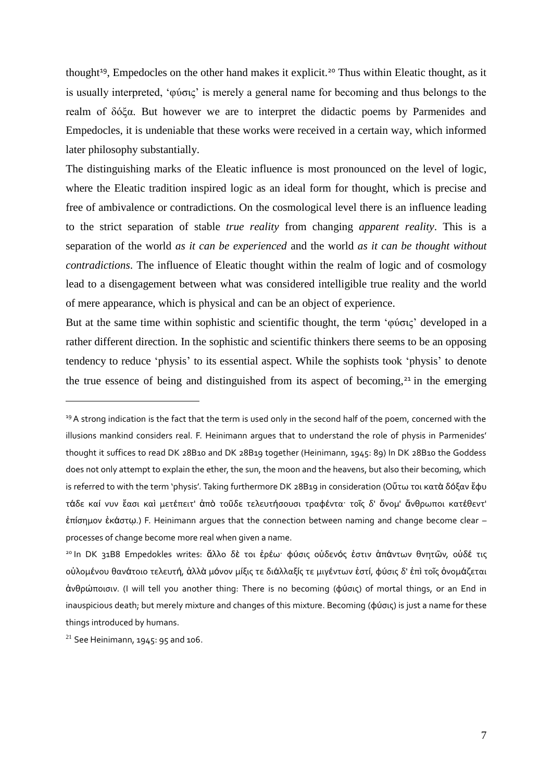thought<sup>19</sup>, Empedocles on the other hand makes it explicit.<sup>20</sup> Thus within Eleatic thought, as it is usually interpreted, 'φύσις' is merely a general name for becoming and thus belongs to the realm of δόξα. But however we are to interpret the didactic poems by Parmenides and Empedocles, it is undeniable that these works were received in a certain way, which informed later philosophy substantially.

The distinguishing marks of the Eleatic influence is most pronounced on the level of logic, where the Eleatic tradition inspired logic as an ideal form for thought, which is precise and free of ambivalence or contradictions. On the cosmological level there is an influence leading to the strict separation of stable *true reality* from changing *apparent reality*. This is a separation of the world *as it can be experienced* and the world *as it can be thought without contradictions*. The influence of Eleatic thought within the realm of logic and of cosmology lead to a disengagement between what was considered intelligible true reality and the world of mere appearance, which is physical and can be an object of experience.

But at the same time within sophistic and scientific thought, the term 'φύσις' developed in a rather different direction. In the sophistic and scientific thinkers there seems to be an opposing tendency to reduce 'physis' to its essential aspect. While the sophists took 'physis' to denote the true essence of being and distinguished from its aspect of becoming,<sup>21</sup> in the emerging

<sup>&</sup>lt;sup>19</sup> A strong indication is the fact that the term is used only in the second half of the poem, concerned with the illusions mankind considers real. F. Heinimann argues that to understand the role of physis in Parmenides' thought it suffices to read DK 28B10 and DK 28B19 together (Heinimann, 1945: 89) In DK 28B10 the Goddess does not only attempt to explain the ether, the sun, the moon and the heavens, but also their becoming, which is referred to with the term 'physis'. Taking furthermore DK 28B19 in consideration (Οὕτω τοι κατὰ δόξαν ἔφυ τάδε καί νυν ἔασι καὶ μετέπειτ' ἀπὸ τοῦδε τελευτήσουσι τραφέντα· τοῖς δ' ὄνομ' ἄνθρωποι κατέθεντ' ἐπίσημον ἑκάστῳ.) F. Heinimann argues that the connection between naming and change become clear – processes of change become more real when given a name.

<sup>&</sup>lt;sup>20</sup> In DK 31B8 Empedokles writes: ἄλλο δὲ τοι ἐρέω· φύσις οὐδενός ἐστιν ἁπάντων θνητῶν, οὐδέ τις οὐλομένου θανάτοιο τελευτή, ἀλλὰ μόνον μίξις τε διάλλαξίς τε μιγέντων ἐστί, φύσις δ' ἐπὶ τοῖς ὀνομάζεται ἀνθρώποισιν. (I will tell you another thing: There is no becoming (φύσις) of mortal things, or an End in inauspicious death; but merely mixture and changes of this mixture. Becoming (φύσις) is just a name for these things introduced by humans.

 $21$  See Heinimann, 1945: 95 and 106.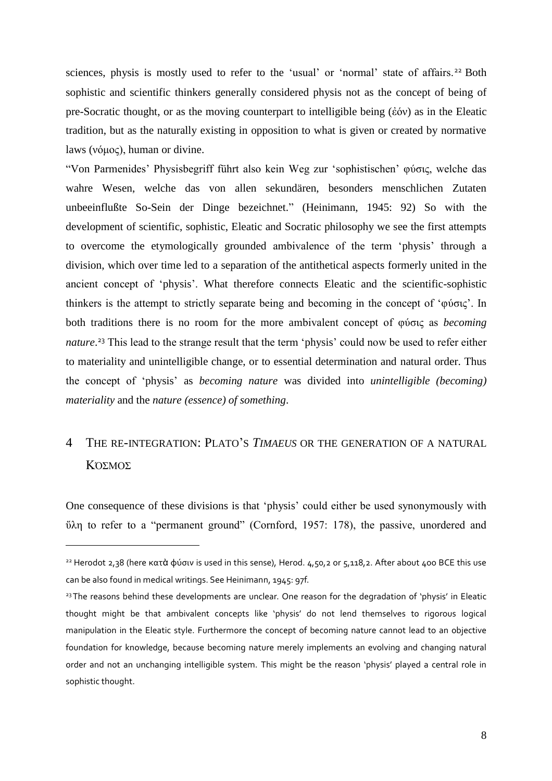sciences, physis is mostly used to refer to the 'usual' or 'normal' state of affairs.<sup>22</sup> Both sophistic and scientific thinkers generally considered physis not as the concept of being of pre-Socratic thought, or as the moving counterpart to intelligible being (ἐόν) as in the Eleatic tradition, but as the naturally existing in opposition to what is given or created by normative laws (νόμος), human or divine.

"Von Parmenides' Physisbegriff führt also kein Weg zur 'sophistischen' φύσις, welche das wahre Wesen, welche das von allen sekundären, besonders menschlichen Zutaten unbeeinflußte So-Sein der Dinge bezeichnet." (Heinimann, 1945: 92) So with the development of scientific, sophistic, Eleatic and Socratic philosophy we see the first attempts to overcome the etymologically grounded ambivalence of the term 'physis' through a division, which over time led to a separation of the antithetical aspects formerly united in the ancient concept of 'physis'. What therefore connects Eleatic and the scientific-sophistic thinkers is the attempt to strictly separate being and becoming in the concept of 'φύσις'. In both traditions there is no room for the more ambivalent concept of φύσις as *becoming nature*. <sup>23</sup> This lead to the strange result that the term 'physis' could now be used to refer either to materiality and unintelligible change, or to essential determination and natural order. Thus the concept of 'physis' as *becoming nature* was divided into *unintelligible (becoming) materiality* and the *nature (essence) of something*.

# 4 THE RE-INTEGRATION: PLATO'S *TIMAEUS* OR THE GENERATION OF A NATURAL ΚΌΣΜΟΣ

One consequence of these divisions is that 'physis' could either be used synonymously with ὕλη to refer to a "permanent ground" (Cornford, 1957: 178), the passive, unordered and

<sup>&</sup>lt;sup>22</sup> Herodot 2,38 (here κατὰ φύσιν is used in this sense), Herod. 4,50,2 or 5,118,2. After about 400 BCE this use can be also found in medical writings. See Heinimann, 1945: 97f.

<sup>&</sup>lt;sup>23</sup>The reasons behind these developments are unclear. One reason for the degradation of 'physis' in Eleatic thought might be that ambivalent concepts like 'physis' do not lend themselves to rigorous logical manipulation in the Eleatic style. Furthermore the concept of becoming nature cannot lead to an objective foundation for knowledge, because becoming nature merely implements an evolving and changing natural order and not an unchanging intelligible system. This might be the reason 'physis' played a central role in sophistic thought.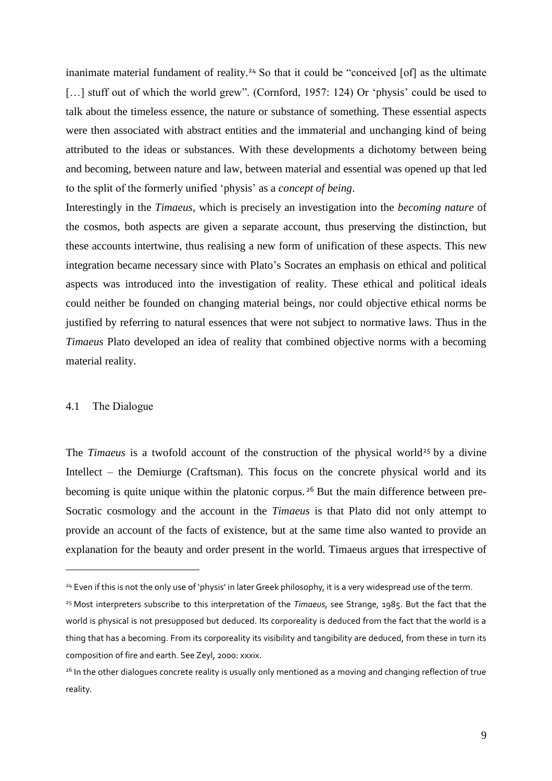inanimate material fundament of reality.<sup>24</sup> So that it could be "conceived [of] as the ultimate [...] stuff out of which the world grew". (Cornford, 1957: 124) Or 'physis' could be used to talk about the timeless essence, the nature or substance of something. These essential aspects were then associated with abstract entities and the immaterial and unchanging kind of being attributed to the ideas or substances. With these developments a dichotomy between being and becoming, between nature and law, between material and essential was opened up that led to the split of the formerly unified 'physis' as a *concept of being*.

Interestingly in the *Timaeus*, which is precisely an investigation into the *becoming nature* of the cosmos, both aspects are given a separate account, thus preserving the distinction, but these accounts intertwine, thus realising a new form of unification of these aspects. This new integration became necessary since with Plato's Socrates an emphasis on ethical and political aspects was introduced into the investigation of reality. These ethical and political ideals could neither be founded on changing material beings, nor could objective ethical norms be justified by referring to natural essences that were not subject to normative laws. Thus in the *Timaeus* Plato developed an idea of reality that combined objective norms with a becoming material reality.

#### 4.1 The Dialogue

 $\overline{a}$ 

The *Timaeus* is a twofold account of the construction of the physical world<sup>25</sup> by a divine Intellect – the Demiurge (Craftsman). This focus on the concrete physical world and its becoming is quite unique within the platonic corpus. <sup>26</sup> But the main difference between pre-Socratic cosmology and the account in the *Timaeus* is that Plato did not only attempt to provide an account of the facts of existence, but at the same time also wanted to provide an explanation for the beauty and order present in the world. Timaeus argues that irrespective of

<sup>&</sup>lt;sup>24</sup> Even if this is not the only use of 'physis' in later Greek philosophy, it is a very widespread use of the term.

<sup>25</sup> Most interpreters subscribe to this interpretation of the *Timaeus*, see Strange, 1985. But the fact that the world is physical is not presupposed but deduced. Its corporeality is deduced from the fact that the world is a thing that has a becoming. From its corporeality its visibility and tangibility are deduced, from these in turn its composition of fire and earth. See Zeyl, 2000: xxxix.

<sup>&</sup>lt;sup>26</sup> In the other dialogues concrete reality is usually only mentioned as a moving and changing reflection of true reality.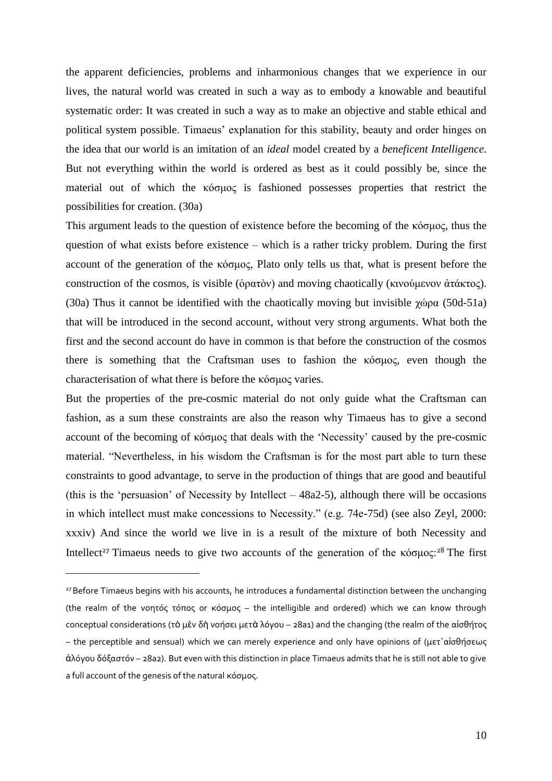the apparent deficiencies, problems and inharmonious changes that we experience in our lives, the natural world was created in such a way as to embody a knowable and beautiful systematic order: It was created in such a way as to make an objective and stable ethical and political system possible. Timaeus' explanation for this stability, beauty and order hinges on the idea that our world is an imitation of an *ideal* model created by a *beneficent Intelligence*. But not everything within the world is ordered as best as it could possibly be, since the material out of which the κόσμος is fashioned possesses properties that restrict the possibilities for creation. (30a)

This argument leads to the question of existence before the becoming of the κόσμος, thus the question of what exists before existence – which is a rather tricky problem. During the first account of the generation of the κόσμος, Plato only tells us that, what is present before the construction of the cosmos, is visible (ὁρατὸν) and moving chaotically (κινούμενον ἀτάκτος). (30a) Thus it cannot be identified with the chaotically moving but invisible  $\chi \omega \rho \alpha$  (50d-51a) that will be introduced in the second account, without very strong arguments. What both the first and the second account do have in common is that before the construction of the cosmos there is something that the Craftsman uses to fashion the κόσμος, even though the characterisation of what there is before the κόσμος varies.

But the properties of the pre-cosmic material do not only guide what the Craftsman can fashion, as a sum these constraints are also the reason why Timaeus has to give a second account of the becoming of κόσμος that deals with the 'Necessity' caused by the pre-cosmic material. "Nevertheless, in his wisdom the Craftsman is for the most part able to turn these constraints to good advantage, to serve in the production of things that are good and beautiful (this is the 'persuasion' of Necessity by Intellect  $-48a2-5$ ), although there will be occasions in which intellect must make concessions to Necessity." (e.g. 74e-75d) (see also Zeyl, 2000: xxxiv) And since the world we live in is a result of the mixture of both Necessity and Intellect<sup>27</sup> Timaeus needs to give two accounts of the generation of the κόσμος:<sup>28</sup> The first

<sup>&</sup>lt;sup>27</sup> Before Timaeus begins with his accounts, he introduces a fundamental distinction between the unchanging (the realm of the νοητός τόπος or κόσμος – the intelligible and ordered) which we can know through conceptual considerations (τὸ μὲν δὴ νοήσει μετὰ λόγου – 28a1) and the changing (the realm of the αἰσθήτος – the perceptible and sensual) which we can merely experience and only have opinions of (μετ᾽αἰσθήσεως ἀλόγου δόξαστόν – 28a2). But even with this distinction in place Timaeus admits that he is still not able to give a full account of the genesis of the natural κόσμος.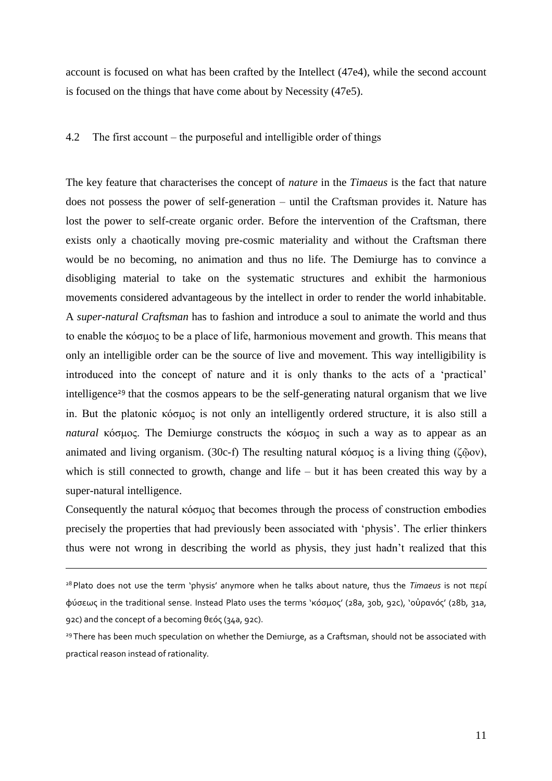account is focused on what has been crafted by the Intellect (47e4), while the second account is focused on the things that have come about by Necessity (47e5).

### 4.2 The first account – the purposeful and intelligible order of things

The key feature that characterises the concept of *nature* in the *Timaeus* is the fact that nature does not possess the power of self-generation – until the Craftsman provides it. Nature has lost the power to self-create organic order. Before the intervention of the Craftsman, there exists only a chaotically moving pre-cosmic materiality and without the Craftsman there would be no becoming, no animation and thus no life. The Demiurge has to convince a disobliging material to take on the systematic structures and exhibit the harmonious movements considered advantageous by the intellect in order to render the world inhabitable. A *super-natural Craftsman* has to fashion and introduce a soul to animate the world and thus to enable the κόσμος to be a place of life, harmonious movement and growth. This means that only an intelligible order can be the source of live and movement. This way intelligibility is introduced into the concept of nature and it is only thanks to the acts of a 'practical' intelligence<sup>29</sup> that the cosmos appears to be the self-generating natural organism that we live in. But the platonic κόσμος is not only an intelligently ordered structure, it is also still a *natural* κόσμος. The Demiurge constructs the κόσμος in such a way as to appear as an animated and living organism. (30c-f) The resulting natural κόσμος is a living thing (ζῷον), which is still connected to growth, change and life – but it has been created this way by a super-natural intelligence.

Consequently the natural κόσμος that becomes through the process of construction embodies precisely the properties that had previously been associated with 'physis'. The erlier thinkers thus were not wrong in describing the world as physis, they just hadn't realized that this

<sup>28</sup>Plato does not use the term 'physis' anymore when he talks about nature, thus the *Timaeus* is not περί φύσεως in the traditional sense. Instead Plato uses the terms 'κόσμος' (28a, 30b, 92c), 'οὐρανός' (28b, 31a, 92c) and the concept of a becoming θεός (34a, 92c).

<sup>&</sup>lt;sup>29</sup> There has been much speculation on whether the Demiurge, as a Craftsman, should not be associated with practical reason instead of rationality.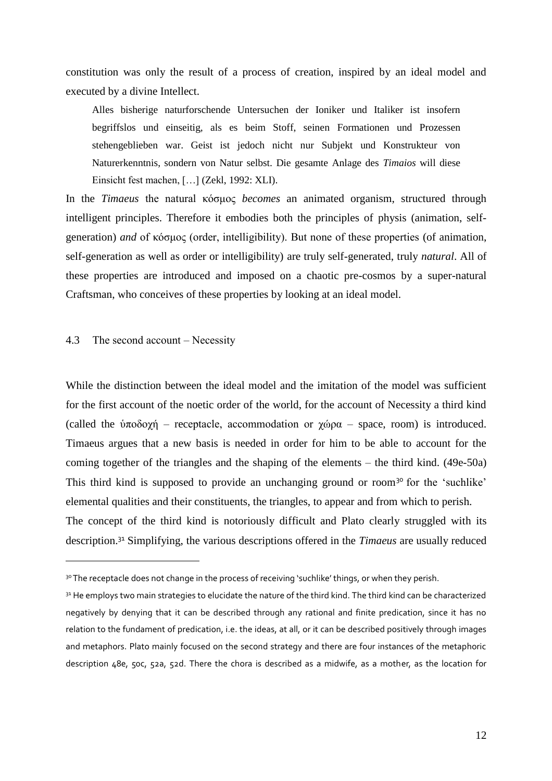constitution was only the result of a process of creation, inspired by an ideal model and executed by a divine Intellect.

Alles bisherige naturforschende Untersuchen der Ioniker und Italiker ist insofern begriffslos und einseitig, als es beim Stoff, seinen Formationen und Prozessen stehengeblieben war. Geist ist jedoch nicht nur Subjekt und Konstrukteur von Naturerkenntnis, sondern von Natur selbst. Die gesamte Anlage des *Timaios* will diese Einsicht fest machen, […] (Zekl, 1992: XLI).

In the *Timaeus* the natural κόσμος *becomes* an animated organism, structured through intelligent principles. Therefore it embodies both the principles of physis (animation, selfgeneration) *and* of κόσμος (order, intelligibility). But none of these properties (of animation, self-generation as well as order or intelligibility) are truly self-generated, truly *natural*. All of these properties are introduced and imposed on a chaotic pre-cosmos by a super-natural Craftsman, who conceives of these properties by looking at an ideal model.

4.3 The second account – Necessity

 $\overline{a}$ 

While the distinction between the ideal model and the imitation of the model was sufficient for the first account of the noetic order of the world, for the account of Necessity a third kind (called the ύποδοχή – receptacle, accommodation or  $\chi \omega \rho \alpha$  – space, room) is introduced. Timaeus argues that a new basis is needed in order for him to be able to account for the coming together of the triangles and the shaping of the elements – the third kind. (49e-50a) This third kind is supposed to provide an unchanging ground or room<sup>30</sup> for the 'suchlike' elemental qualities and their constituents, the triangles, to appear and from which to perish. The concept of the third kind is notoriously difficult and Plato clearly struggled with its description.<sup>31</sup> Simplifying, the various descriptions offered in the *Timaeus* are usually reduced

<sup>&</sup>lt;sup>30</sup> The receptacle does not change in the process of receiving 'suchlike' things, or when they perish.

<sup>&</sup>lt;sup>31</sup> He employs two main strategies to elucidate the nature of the third kind. The third kind can be characterized negatively by denying that it can be described through any rational and finite predication, since it has no relation to the fundament of predication, i.e. the ideas, at all, or it can be described positively through images and metaphors. Plato mainly focused on the second strategy and there are four instances of the metaphoric description 48e, 50c, 52a, 52d. There the chora is described as a midwife, as a mother, as the location for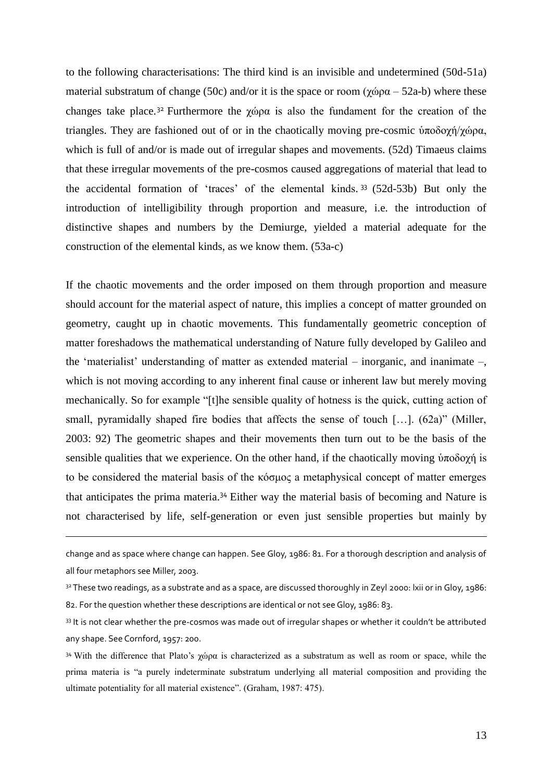to the following characterisations: The third kind is an invisible and undetermined (50d-51a) material substratum of change (50c) and/or it is the space or room ( $χώρα – 52a-b$ ) where these changes take place.<sup>32</sup> Furthermore the  $\chi$ ώρα is also the fundament for the creation of the triangles. They are fashioned out of or in the chaotically moving pre-cosmic ὑποδοχή/χώρα, which is full of and/or is made out of irregular shapes and movements. (52d) Timaeus claims that these irregular movements of the pre-cosmos caused aggregations of material that lead to the accidental formation of 'traces' of the elemental kinds. <sup>33</sup> (52d-53b) But only the introduction of intelligibility through proportion and measure, i.e. the introduction of distinctive shapes and numbers by the Demiurge, yielded a material adequate for the construction of the elemental kinds, as we know them. (53a-c)

If the chaotic movements and the order imposed on them through proportion and measure should account for the material aspect of nature, this implies a concept of matter grounded on geometry, caught up in chaotic movements. This fundamentally geometric conception of matter foreshadows the mathematical understanding of Nature fully developed by Galileo and the 'materialist' understanding of matter as extended material – inorganic, and inanimate –, which is not moving according to any inherent final cause or inherent law but merely moving mechanically. So for example "[t]he sensible quality of hotness is the quick, cutting action of small, pyramidally shaped fire bodies that affects the sense of touch [...]. (62a)" (Miller, 2003: 92) The geometric shapes and their movements then turn out to be the basis of the sensible qualities that we experience. On the other hand, if the chaotically moving ὑποδοχή is to be considered the material basis of the κόσμος a metaphysical concept of matter emerges that anticipates the prima materia.<sup>34</sup> Either way the material basis of becoming and Nature is not characterised by life, self-generation or even just sensible properties but mainly by

change and as space where change can happen. See Gloy, 1986: 81. For a thorough description and analysis of all four metaphors see Miller, 2003.

<sup>&</sup>lt;sup>32</sup> These two readings, as a substrate and as a space, are discussed thoroughly in Zeyl 2000: lxii or in Gloy, 1986: 82. For the question whether these descriptions are identical or not see Gloy, 1986: 83.

<sup>33</sup> It is not clear whether the pre-cosmos was made out of irregular shapes or whether it couldn't be attributed any shape. See Cornford, 1957: 200.

<sup>34</sup> With the difference that Plato's χώρα is characterized as a substratum as well as room or space, while the prima materia is "a purely indeterminate substratum underlying all material composition and providing the ultimate potentiality for all material existence". (Graham, 1987: 475).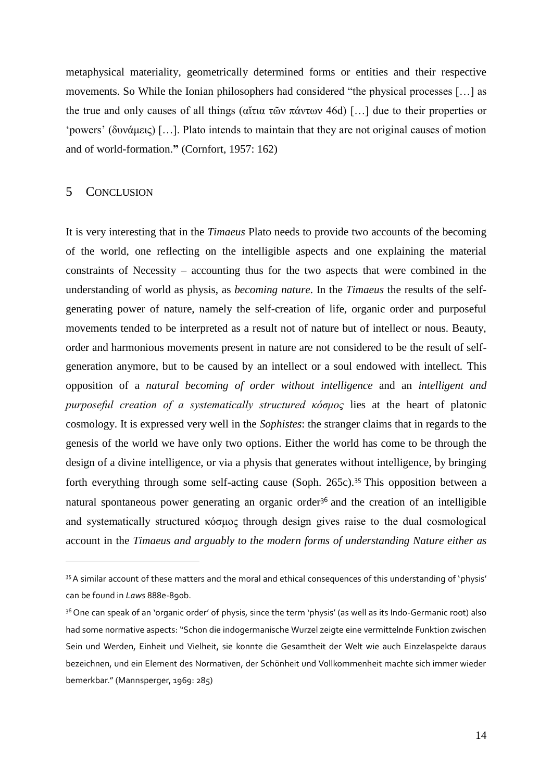metaphysical materiality, geometrically determined forms or entities and their respective movements. So While the Ionian philosophers had considered "the physical processes […] as the true and only causes of all things (αἴτια τῶν πάντων 46d) […] due to their properties or 'powers' (δυνάμεις) […]. Plato intends to maintain that they are not original causes of motion and of world-formation.**"** (Cornfort, 1957: 162)

# 5 CONCLUSION

 $\overline{a}$ 

It is very interesting that in the *Timaeus* Plato needs to provide two accounts of the becoming of the world, one reflecting on the intelligible aspects and one explaining the material constraints of Necessity – accounting thus for the two aspects that were combined in the understanding of world as physis, as *becoming nature*. In the *Timaeus* the results of the selfgenerating power of nature, namely the self-creation of life, organic order and purposeful movements tended to be interpreted as a result not of nature but of intellect or nous. Beauty, order and harmonious movements present in nature are not considered to be the result of selfgeneration anymore, but to be caused by an intellect or a soul endowed with intellect. This opposition of a *natural becoming of order without intelligence* and an *intelligent and purposeful creation of a systematically structured κόσμος* lies at the heart of platonic cosmology. It is expressed very well in the *Sophistes*: the stranger claims that in regards to the genesis of the world we have only two options. Either the world has come to be through the design of a divine intelligence, or via a physis that generates without intelligence, by bringing forth everything through some self-acting cause (Soph. 265c).<sup>35</sup> This opposition between a natural spontaneous power generating an organic order<sup>36</sup> and the creation of an intelligible and systematically structured κόσμος through design gives raise to the dual cosmological account in the *Timaeus and arguably to the modern forms of understanding Nature either as* 

<sup>&</sup>lt;sup>35</sup> A similar account of these matters and the moral and ethical consequences of this understanding of 'physis' can be found in *Laws* 888e-890b.

<sup>&</sup>lt;sup>36</sup> One can speak of an 'organic order' of physis, since the term 'physis' (as well as its Indo-Germanic root) also had some normative aspects: "Schon die indogermanische Wurzel zeigte eine vermittelnde Funktion zwischen Sein und Werden, Einheit und Vielheit, sie konnte die Gesamtheit der Welt wie auch Einzelaspekte daraus bezeichnen, und ein Element des Normativen, der Schönheit und Vollkommenheit machte sich immer wieder bemerkbar." (Mannsperger, 1969: 285)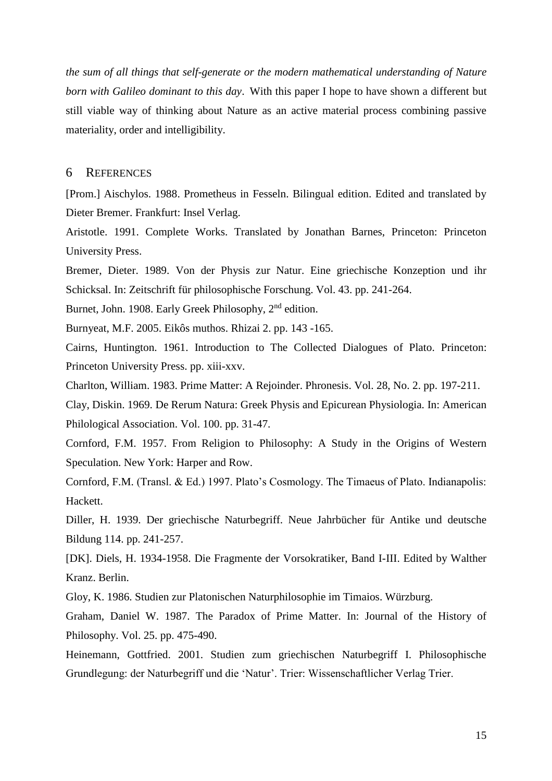*the sum of all things that self-generate or the modern mathematical understanding of Nature born with Galileo dominant to this day*. With this paper I hope to have shown a different but still viable way of thinking about Nature as an active material process combining passive materiality, order and intelligibility.

### 6 REFERENCES

[Prom.] Aischylos. 1988. Prometheus in Fesseln. Bilingual edition. Edited and translated by Dieter Bremer. Frankfurt: Insel Verlag.

Aristotle. 1991. Complete Works. Translated by Jonathan Barnes, Princeton: Princeton University Press.

Bremer, Dieter. 1989. Von der Physis zur Natur. Eine griechische Konzeption und ihr Schicksal. In: Zeitschrift für philosophische Forschung. Vol. 43. pp. 241-264.

Burnet, John. 1908. Early Greek Philosophy, 2<sup>nd</sup> edition.

Burnyeat, M.F. 2005. Eikôs muthos. Rhizai 2. pp. 143 -165.

Cairns, Huntington. 1961. Introduction to The Collected Dialogues of Plato. Princeton: Princeton University Press. pp. xiii-xxv.

Charlton, William. 1983. Prime Matter: A Rejoinder. Phronesis. Vol. 28, No. 2. pp. 197-211.

Clay, Diskin. 1969. De Rerum Natura: Greek Physis and Epicurean Physiologia. In: American Philological Association. Vol. 100. pp. 31-47.

Cornford, F.M. 1957. From Religion to Philosophy: A Study in the Origins of Western Speculation. New York: Harper and Row.

Cornford, F.M. (Transl. & Ed.) 1997. Plato's Cosmology. The Timaeus of Plato. Indianapolis: Hackett.

Diller, H. 1939. Der griechische Naturbegriff. Neue Jahrbücher für Antike und deutsche Bildung 114. pp. 241-257.

[DK]. Diels, H. 1934-1958. Die Fragmente der Vorsokratiker, Band I-III. Edited by Walther Kranz. Berlin.

Gloy, K. 1986. Studien zur Platonischen Naturphilosophie im Timaios. Würzburg.

Graham, Daniel W. 1987. The Paradox of Prime Matter. In: Journal of the History of Philosophy. Vol. 25. pp. 475-490.

Heinemann, Gottfried. 2001. Studien zum griechischen Naturbegriff I. Philosophische Grundlegung: der Naturbegriff und die 'Natur'. Trier: Wissenschaftlicher Verlag Trier.